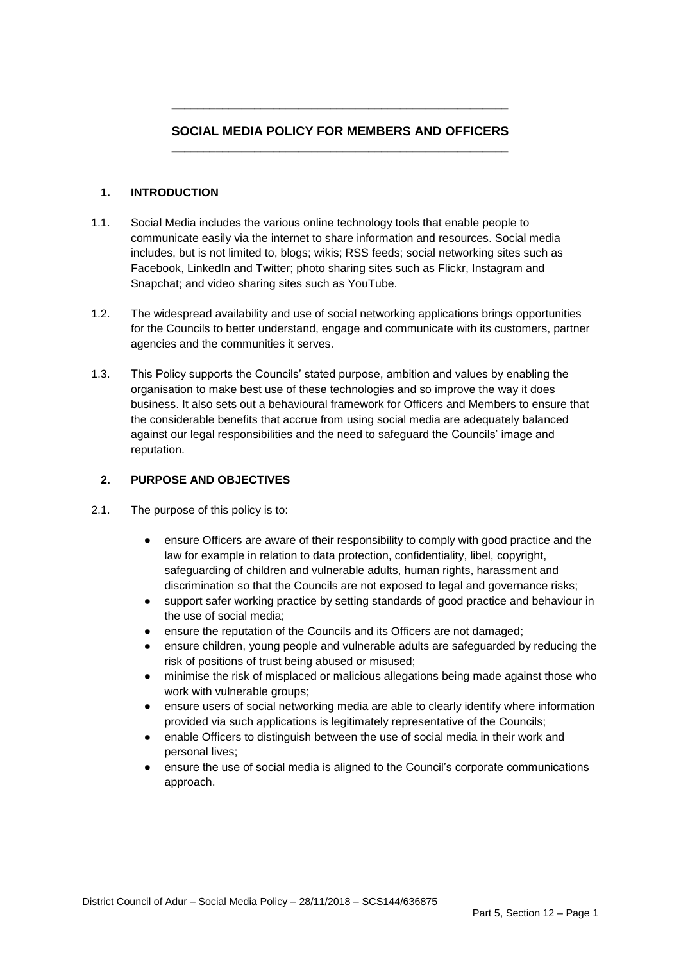# **SOCIAL MEDIA POLICY FOR MEMBERS AND OFFICERS \_\_\_\_\_\_\_\_\_\_\_\_\_\_\_\_\_\_\_\_\_\_\_\_\_\_\_\_\_\_\_\_\_\_\_\_\_\_\_\_\_\_\_\_\_\_\_\_\_\_\_\_\_**

**\_\_\_\_\_\_\_\_\_\_\_\_\_\_\_\_\_\_\_\_\_\_\_\_\_\_\_\_\_\_\_\_\_\_\_\_\_\_\_\_\_\_\_\_\_\_\_\_\_\_\_\_\_**

### **1. INTRODUCTION**

- 1.1. Social Media includes the various online technology tools that enable people to communicate easily via the internet to share information and resources. Social media includes, but is not limited to, blogs; wikis; RSS feeds; social networking sites such as Facebook, LinkedIn and Twitter; photo sharing sites such as Flickr, Instagram and Snapchat; and video sharing sites such as YouTube.
- 1.2. The widespread availability and use of social networking applications brings opportunities for the Councils to better understand, engage and communicate with its customers, partner agencies and the communities it serves.
- 1.3. This Policy supports the Councils' stated purpose, ambition and values by enabling the organisation to make best use of these technologies and so improve the way it does business. It also sets out a behavioural framework for Officers and Members to ensure that the considerable benefits that accrue from using social media are adequately balanced against our legal responsibilities and the need to safeguard the Councils' image and reputation.

### **2. PURPOSE AND OBJECTIVES**

- 2.1. The purpose of this policy is to:
	- ensure Officers are aware of their responsibility to comply with good practice and the law for example in relation to data protection, confidentiality, libel, copyright, safeguarding of children and vulnerable adults, human rights, harassment and discrimination so that the Councils are not exposed to legal and governance risks;
	- support safer working practice by setting standards of good practice and behaviour in the use of social media;
	- ensure the reputation of the Councils and its Officers are not damaged;
	- ensure children, young people and vulnerable adults are safeguarded by reducing the risk of positions of trust being abused or misused;
	- minimise the risk of misplaced or malicious allegations being made against those who work with vulnerable groups;
	- ensure users of social networking media are able to clearly identify where information provided via such applications is legitimately representative of the Councils;
	- enable Officers to distinguish between the use of social media in their work and personal lives;
	- ensure the use of social media is aligned to the Council's corporate communications approach.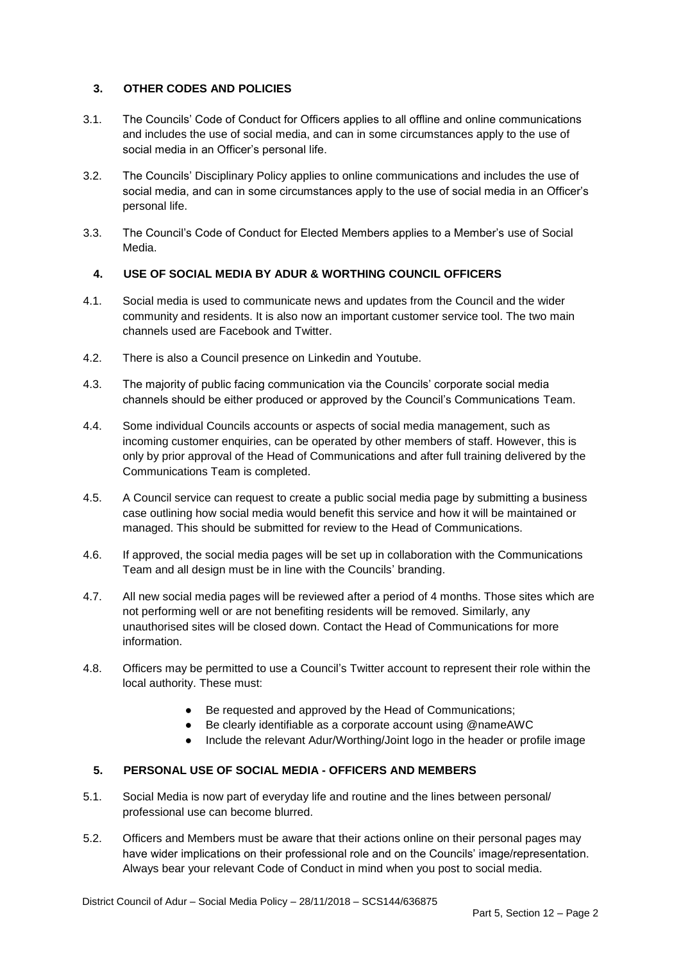## **3. OTHER CODES AND POLICIES**

- 3.1. The Councils' Code of Conduct for Officers applies to all offline and online communications and includes the use of social media, and can in some circumstances apply to the use of social media in an Officer's personal life.
- 3.2. The Councils' Disciplinary Policy applies to online communications and includes the use of social media, and can in some circumstances apply to the use of social media in an Officer's personal life.
- 3.3. The Council's Code of Conduct for Elected Members applies to a Member's use of Social Media.

## **4. USE OF SOCIAL MEDIA BY ADUR & WORTHING COUNCIL OFFICERS**

- 4.1. Social media is used to communicate news and updates from the Council and the wider community and residents. It is also now an important customer service tool. The two main channels used are Facebook and Twitter.
- 4.2. There is also a Council presence on Linkedin and Youtube.
- 4.3. The majority of public facing communication via the Councils' corporate social media channels should be either produced or approved by the Council's Communications Team.
- 4.4. Some individual Councils accounts or aspects of social media management, such as incoming customer enquiries, can be operated by other members of staff. However, this is only by prior approval of the Head of Communications and after full training delivered by the Communications Team is completed.
- 4.5. A Council service can request to create a public social media page by submitting a business case outlining how social media would benefit this service and how it will be maintained or managed. This should be submitted for review to the Head of Communications.
- 4.6. If approved, the social media pages will be set up in collaboration with the Communications Team and all design must be in line with the Councils' branding.
- 4.7. All new social media pages will be reviewed after a period of 4 months. Those sites which are not performing well or are not benefiting residents will be removed. Similarly, any unauthorised sites will be closed down. Contact the Head of Communications for more information.
- 4.8. Officers may be permitted to use a Council's Twitter account to represent their role within the local authority. These must:
	- Be requested and approved by the Head of Communications;
	- Be clearly identifiable as a corporate account using @nameAWC
	- Include the relevant Adur/Worthing/Joint logo in the header or profile image

### **5. PERSONAL USE OF SOCIAL MEDIA - OFFICERS AND MEMBERS**

- 5.1. Social Media is now part of everyday life and routine and the lines between personal/ professional use can become blurred.
- 5.2. Officers and Members must be aware that their actions online on their personal pages may have wider implications on their professional role and on the Councils' image/representation. Always bear your relevant Code of Conduct in mind when you post to social media.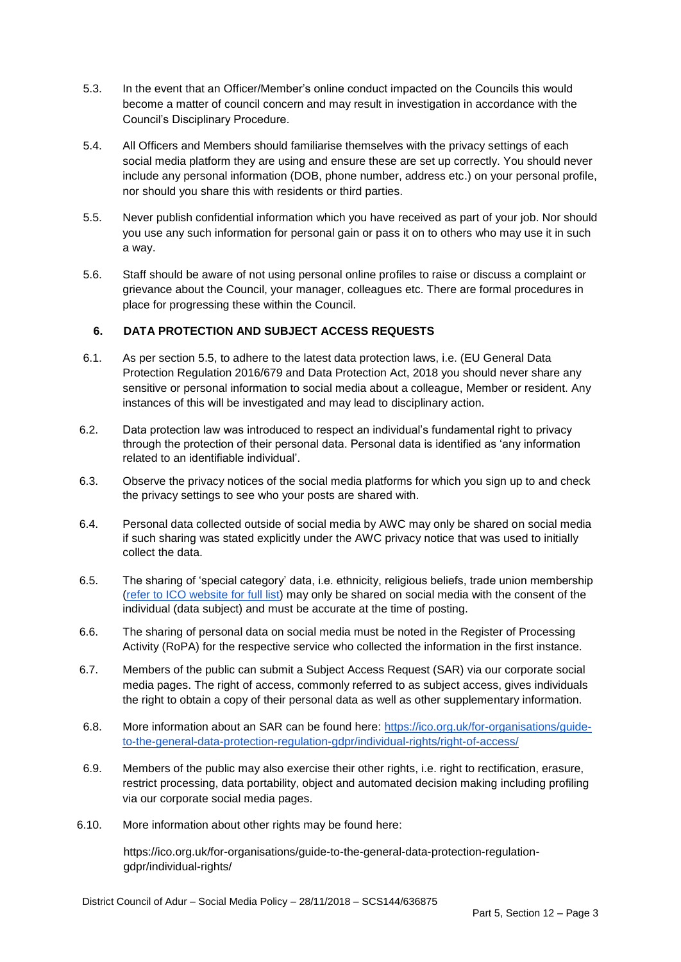- 5.3. In the event that an Officer/Member's online conduct impacted on the Councils this would become a matter of council concern and may result in investigation in accordance with the Council's Disciplinary Procedure.
- 5.4. All Officers and Members should familiarise themselves with the privacy settings of each social media platform they are using and ensure these are set up correctly. You should never include any personal information (DOB, phone number, address etc.) on your personal profile, nor should you share this with residents or third parties.
- 5.5. Never publish confidential information which you have received as part of your job. Nor should you use any such information for personal gain or pass it on to others who may use it in such a way.
- 5.6. Staff should be aware of not using personal online profiles to raise or discuss a complaint or grievance about the Council, your manager, colleagues etc. There are formal procedures in place for progressing these within the Council.

### **6. DATA PROTECTION AND SUBJECT ACCESS REQUESTS**

- 6.1. As per section 5.5, to adhere to the latest data protection laws, i.e. (EU General Data Protection Regulation 2016/679 and Data Protection Act, 2018 you should never share any sensitive or personal information to social media about a colleague, Member or resident. Any instances of this will be investigated and may lead to disciplinary action.
- 6.2. Data protection law was introduced to respect an individual's fundamental right to privacy through the protection of their personal data. Personal data is identified as 'any information related to an identifiable individual'.
- 6.3. Observe the privacy notices of the social media platforms for which you sign up to and check the privacy settings to see who your posts are shared with.
- 6.4. Personal data collected outside of social media by AWC may only be shared on social media if such sharing was stated explicitly under the AWC privacy notice that was used to initially collect the data.
- 6.5. The sharing of 'special category' data, i.e. ethnicity, religious beliefs, trade union membership [\(refer to ICO website for full list\)](https://ico.org.uk/for-organisations/guide-to-the-general-data-protection-regulation-gdpr/lawful-basis-for-processing/special-category-data/) may only be shared on social media with the consent of the individual (data subject) and must be accurate at the time of posting.
- 6.6. The sharing of personal data on social media must be noted in the Register of Processing Activity (RoPA) for the respective service who collected the information in the first instance.
- 6.7. Members of the public can submit a Subject Access Request (SAR) via our corporate social media pages. The right of access, commonly referred to as subject access, gives individuals the right to obtain a copy of their personal data as well as other supplementary information.
- 6.8. More information about an SAR can be found here: [https://ico.org.uk/for-organisations/guide](https://ico.org.uk/for-organisations/guide-to-the-general-data-protection-regulation-gdpr/individual-rights/right-of-access/)[to-the-general-data-protection-regulation-gdpr/individual-rights/right-of-access/](https://ico.org.uk/for-organisations/guide-to-the-general-data-protection-regulation-gdpr/individual-rights/right-of-access/)
- 6.9. Members of the public may also exercise their other rights, i.e. right to rectification, erasure, restrict processing, data portability, object and automated decision making including profiling via our corporate social media pages.
- 6.10. More information about other rights may be found here:

https://ico.org.uk/for-organisations/guide-to-the-general-data-protection-regulationgdpr/individual-rights/